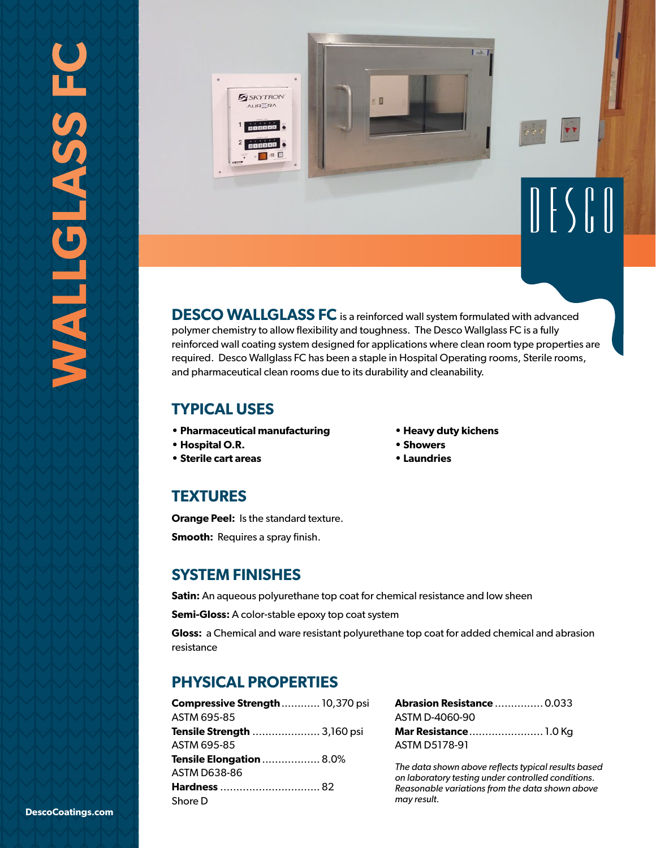

**DESCO WALLGLASS FC** is a reinforced wall system formulated with advanced polymer chemistry to allow flexibility and toughness. The Desco Wallglass FC is a fully reinforced wall coating system designed for applications where clean room type properties are required. Desco Wallglass FC has been a staple in Hospital Operating rooms, Sterile rooms, and pharmaceutical clean rooms due to its durability and cleanability.

## **TYPICAL USES**

- **Pharmaceutical manufacturing**
- **Hospital O.R.**
- **Sterile cart areas**
- **Heavy duty kichens**
- **Showers**
- **Laundries**

## **TEXTURES**

**Orange Peel:** Is the standard texture.

**Smooth:** Requires a spray finish.

### **SYSTEM FINISHES**

**Satin:** An aqueous polyurethane top coat for chemical resistance and low sheen

**Semi-Gloss:** A color-stable epoxy top coat system

**Gloss:** a Chemical and ware resistant polyurethane top coat for added chemical and abrasion resistance

# **PHYSICAL PROPERTIES**

| <b>Compressive Strength</b> 10,370 psi |  |
|----------------------------------------|--|
| ASTM 695-85                            |  |
| <b>Tensile Strength  3,160 psi</b>     |  |
| ASTM 695-85                            |  |
| <b>Tensile Elongation</b> 8.0%         |  |
| ASTM D638-86                           |  |
| <b>Hardness</b> 82                     |  |
| Shore D                                |  |

| <b>Abrasion Resistance  0.033</b> |  |
|-----------------------------------|--|
| ASTM D-4060-90                    |  |
|                                   |  |
| Mar Resistance 1.0 Kg             |  |

*The data shown above reflects typical results based on laboratory testing under controlled conditions. Reasonable variations from the data shown above may result.*